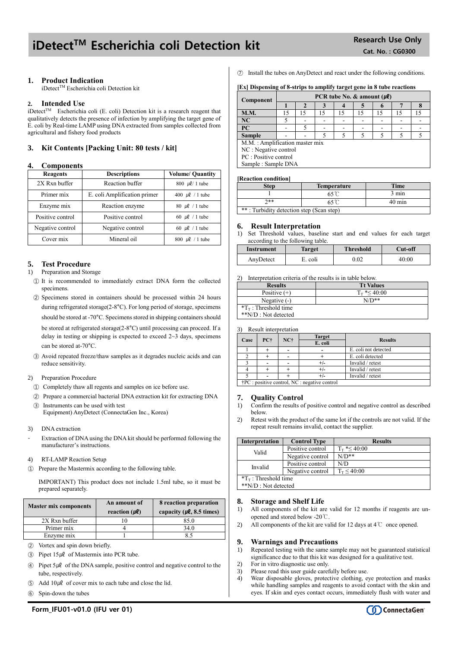# iDetect<sup>TM</sup> Escherichia coli Detection kit Research Use Only

## **1. Product Indication**

iDetect™ Escherichia coli Detection kit

## **2. Intended Use**

 $i$ Detect<sup>TM</sup> Escherichia coli (E. coli) Detection kit is a research reagent that qualitatively detects the presence of infection by amplifying the target gene of E. coli by Real-time LAMP using DNA extracted from samples collected from agricultural and fishery food products

## **3. Kit Contents [Packing Unit: 80 tests / kit]**

## **4. Components**

| <b>Reagents</b>  | <b>Descriptions</b>          | <b>Volume/ Quantity</b> |  |
|------------------|------------------------------|-------------------------|--|
| 2X Rxn buffer    | Reaction buffer              | 800 $\mu$ l/ 1 tube     |  |
| Primer mix       | E. coli Amplification primer | 400 $\mu$ l / 1 tube    |  |
| Enzyme mix       | Reaction enzyme              | 80 $\mu$ l / 1 tube     |  |
| Positive control | Positive control             | 60 $\mu$ l / 1 tube     |  |
| Negative control | Negative control             | 60 $\mu$ l / 1 tube     |  |
| Cover mix        | Mineral oil                  | 800 $\mu$ l / 1 tube    |  |

## **5. Test Procedure**

- 1) Preparation and Storage
	- ① It is recommended to immediately extract DNA form the collected specimens.
	- ② Specimens stored in containers should be processed within 24 hours during refrigerated storage(2-8°C). For long period of storage, specimens should be stored at -70°C. Specimens stored in shipping containers should be stored at refrigerated storage(2-8°C) until processing can proceed. If a delay in testing or shipping is expected to exceed 2~3 days, specimens can be stored at-70°C.
	- ③ Avoid repeated freeze/thaw samples as it degrades nucleic acids and can reduce sensitivity.
- 2) Preparation Procedure
	- ① Completely thaw all regents and samples on ice before use.
	- ② Prepare a commercial bacterial DNA extraction kit for extracting DNA
- ③ Instruments can be used with test Equipment) AnyDetect (ConnectaGen Inc., Korea)
- 3) DNA extraction
- Extraction of DNA using the DNA kit should be performed following the manufacturer's instructions.
- 4) RT-LAMP Reaction Setup
- ① Prepare the Mastermix according to the following table.

IMPORTANT) This product does not include 1.5ml tube, so it must be prepared separately.

| <b>Master mix components</b> | An amount of<br>reaction $(\mu \ell)$ | 8 reaction preparation<br>capacity ( $\mu$ <b>l</b> , 8.5 times) |  |
|------------------------------|---------------------------------------|------------------------------------------------------------------|--|
| 2X Rxn buffer                |                                       | 85.0                                                             |  |
| Primer mix                   |                                       | 34.0                                                             |  |
| Enzyme mix                   |                                       |                                                                  |  |
|                              |                                       |                                                                  |  |

- ② Vortex and spin down briefly.
- $\textcircled{3}$  Pipet 15µl of Mastermix into PCR tube.
- $\circledA$  Pipet 5µl of the DNA sample, positive control and negative control to the tube, respectively.
- $\circ$  Add 10µl of cover mix to each tube and close the lid.
- ⑥ Spin-down the tubes

⑦ Install the tubes on AnyDetect and react under the following conditions.

## **[Ex] Dispensing of 8-strips to amplify target gene in 8 tube reactions**

| Component                      | PCR tube No. & amount $(\mu \ell)$ |    |    |    |    |  |  |    |
|--------------------------------|------------------------------------|----|----|----|----|--|--|----|
|                                |                                    |    |    |    |    |  |  |    |
| <b>M.M.</b>                    | 15                                 | 15 | 15 | 15 | 15 |  |  | 15 |
| NC                             |                                    |    |    |    |    |  |  |    |
| <b>PC</b>                      |                                    |    |    |    |    |  |  |    |
| <b>Sample</b>                  |                                    |    |    |    |    |  |  |    |
| M.M.: Amplification master mix |                                    |    |    |    |    |  |  |    |
| NC : Negative control          |                                    |    |    |    |    |  |  |    |
| PC : Positive control          |                                    |    |    |    |    |  |  |    |
| Sample: Sample DNA             |                                    |    |    |    |    |  |  |    |

#### **[Reaction condition]**

| Step                                     | <b>Temperature</b> | <b>Time</b>      |  |  |
|------------------------------------------|--------------------|------------------|--|--|
|                                          |                    | $3 \text{ min}$  |  |  |
| $7**$                                    |                    | $40 \text{ min}$ |  |  |
| **: Turbidity detection step (Scan step) |                    |                  |  |  |

## **6. Result Interpretation**

1) Set Threshold values, baseline start and end values for each target according to the following table.

| Instrument | Target  | <b>Threshold</b> | Cut-off |
|------------|---------|------------------|---------|
| AnyDetect  | E. coli | 0.02             | 40:00   |

2) Interpretation criteria of the results is in table below.

| <b>Results</b>               | <b>Tt Values</b>     |
|------------------------------|----------------------|
| Positive $(+)$               | $T_{\rm T}$ *< 40:00 |
| Negative $(-)$               | $N/D**$              |
| $T_{\rm T}$ : Threshold time |                      |
| **N/D : Not detected         |                      |

3) Result interpretation

| Case |                                                         |         | <b>Target</b>  |                      |  |
|------|---------------------------------------------------------|---------|----------------|----------------------|--|
|      | NC+<br>PC+                                              | E. coli | <b>Results</b> |                      |  |
|      |                                                         |         |                | E. coli not detected |  |
|      |                                                         |         |                | E. coli detected     |  |
|      |                                                         |         |                | Invalid / retest     |  |
|      |                                                         |         |                | Invalid / retest     |  |
|      |                                                         |         |                | Invalid / retest     |  |
|      | $\uparrow$ PC : positive control, NC : negative control |         |                |                      |  |

## **7. Quality Control**

- 1) Confirm the results of positive control and negative control as described below.
- 2) Retest with the product of the same lot if the controls are not valid. If the repeat result remains invalid, contact the supplier.

| <b>Interpretation</b>        | <b>Control Type</b> | <b>Results</b>       |  |  |
|------------------------------|---------------------|----------------------|--|--|
| Valid                        | Positive control    | $T_{\rm T}$ *< 40:00 |  |  |
|                              | Negative control    | $N/D**$              |  |  |
| Invalid                      | Positive control    | N/D                  |  |  |
|                              | Negative control    | $T_T \le 40:00$      |  |  |
| $T_{\rm T}$ : Threshold time |                     |                      |  |  |
| **N/D : Not detected         |                     |                      |  |  |

#### **8. Storage and Shelf Life**

- 1) All components of the kit are valid for 12 months if reagents are unopened and stored below -20℃.
- 2) All components of the kit are valid for 12 days at  $4^{\circ}$  once opened.

## **9. Warnings and Precautions**

- 1) Repeated testing with the same sample may not be guaranteed statistical significance due to that this kit was designed for a qualitative test.
- 2) For in vitro diagnostic use only.
- 3) Please read this user guide carefully before use. 4) Wear disposable gloves, protective clothing, eye protection and masks while handling samples and reagents to avoid contact with the skin and eyes. If skin and eyes contact occurs, immediately flush with water and